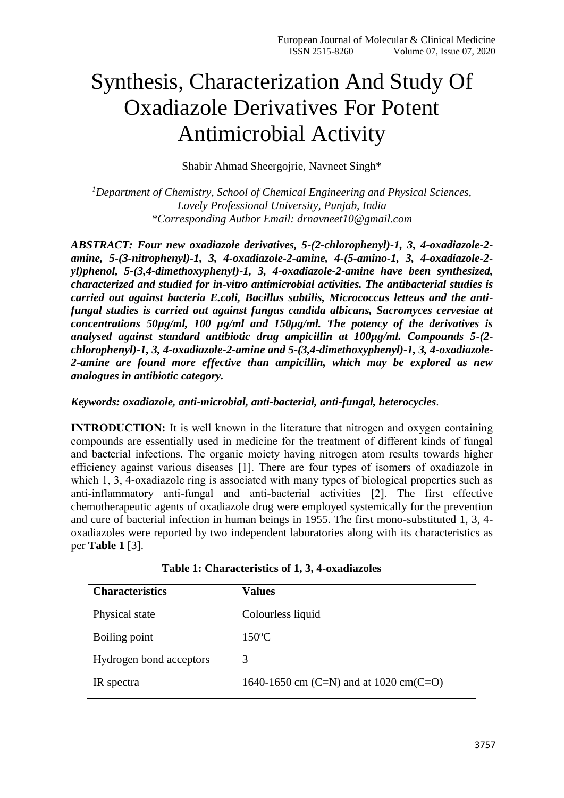## Synthesis, Characterization And Study Of Oxadiazole Derivatives For Potent Antimicrobial Activity

Shabir Ahmad Sheergojrie, Navneet Singh\*

*<sup>1</sup>Department of Chemistry, School of Chemical Engineering and Physical Sciences, Lovely Professional University, Punjab, India \*Corresponding Author Email: drnavneet10@gmail.com*

*ABSTRACT: Four new oxadiazole derivatives, 5-(2-chlorophenyl)-1, 3, 4-oxadiazole-2 amine, 5-(3-nitrophenyl)-1, 3, 4-oxadiazole-2-amine, 4-(5-amino-1, 3, 4-oxadiazole-2 yl)phenol, 5-(3,4-dimethoxyphenyl)-1, 3, 4-oxadiazole-2-amine have been synthesized, characterized and studied for in-vitro antimicrobial activities. The antibacterial studies is carried out against bacteria E.coli, Bacillus subtilis, Micrococcus letteus and the antifungal studies is carried out against fungus candida albicans, Sacromyces cervesiae at concentrations 50µg/ml, 100 µg/ml and 150µg/ml. The potency of the derivatives is analysed against standard antibiotic drug ampicillin at 100µg/ml. Compounds 5-(2 chlorophenyl)-1, 3, 4-oxadiazole-2-amine and 5-(3,4-dimethoxyphenyl)-1, 3, 4-oxadiazole-2-amine are found more effective than ampicillin, which may be explored as new analogues in antibiotic category.*

*Keywords: oxadiazole, anti-microbial, anti-bacterial, anti-fungal, heterocycles*.

**INTRODUCTION:** It is well known in the literature that nitrogen and oxygen containing compounds are essentially used in medicine for the treatment of different kinds of fungal and bacterial infections. The organic moiety having nitrogen atom results towards higher efficiency against various diseases [1]. There are four types of isomers of oxadiazole in which 1, 3, 4-oxadiazole ring is associated with many types of biological properties such as anti-inflammatory anti-fungal and anti-bacterial activities [2]. The first effective chemotherapeutic agents of oxadiazole drug were employed systemically for the prevention and cure of bacterial infection in human beings in 1955. The first mono-substituted 1, 3, 4 oxadiazoles were reported by two independent laboratories along with its characteristics as per **Table 1** [3].

| <b>Characteristics</b>  | Values                                 |
|-------------------------|----------------------------------------|
| Physical state          | Colourless liquid                      |
| Boiling point           | $150^{\circ}$ C                        |
| Hydrogen bond acceptors | 3                                      |
| IR spectra              | 1640-1650 cm (C=N) and at 1020 cm(C=O) |

**Table 1: Characteristics of 1, 3, 4-oxadiazoles**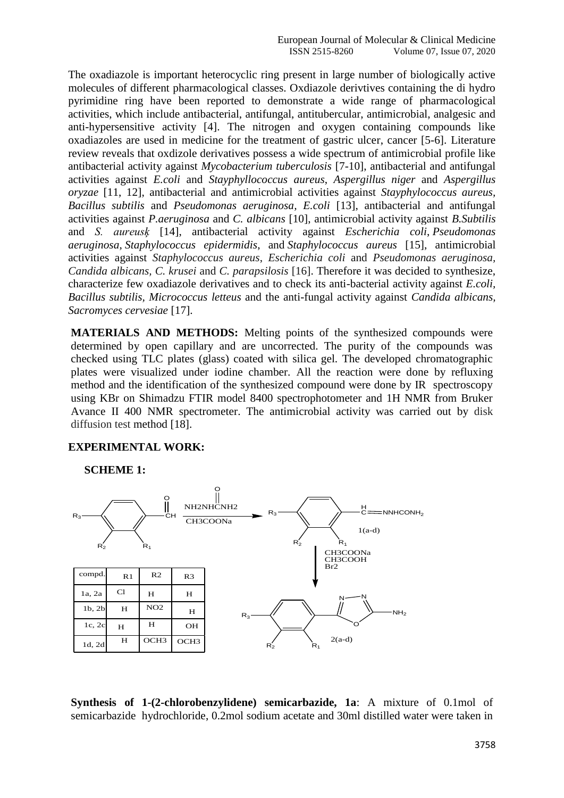The oxadiazole is important heterocyclic ring present in large number of biologically active molecules of different pharmacological classes. Oxdiazole derivtives containing the di hydro pyrimidine ring have been reported to demonstrate a wide range of pharmacological activities, which include antibacterial, antifungal, antitubercular, antimicrobial, analgesic and anti-hypersensitive activity [4]. The nitrogen and oxygen containing compounds like oxadiazoles are used in medicine for the treatment of gastric ulcer, cancer [5-6]. Literature review reveals that oxdizole derivatives possess a wide spectrum of antimicrobial profile like antibacterial activity against *Mycobacterium tuberculosis* [7-10], antibacterial and antifungal activities against *E.coli* and *Stayphyllococcus aureus*, *Aspergillus niger* and *Aspergillus oryzae* [11, 12], antibacterial and antimicrobial activities against *Stayphylococcus aureus, Bacillus subtilis* and *Pseudomonas aeruginosa, E.coli* [13], antibacterial and antifungal activities against *P.aeruginosa* and *C. albicans* [10], antimicrobial activity against *B.Subtilis* and *S. aureusķ* [14], antibacterial activity against *Escherichia coli*, *Pseudomonas aeruginosa*, *Staphylococcus epidermidis*, and *Staphylococcus aureus* [15], antimicrobial activities against *Staphylococcus aureus*, *Escherichia coli* and *Pseudomonas aeruginosa, Candida albicans, C. krusei* and *C. parapsilosis* [16]. Therefore it was decided to synthesize, characterize few oxadiazole derivatives and to check its anti-bacterial activity against *E.coli, Bacillus subtilis, Micrococcus letteus* and the anti-fungal activity against *Candida albicans, Sacromyces cervesiae* [17]*.*

**MATERIALS AND METHODS:** Melting points of the synthesized compounds were determined by open capillary and are uncorrected. The purity of the compounds was checked using TLC plates (glass) coated with silica gel. The developed chromatographic plates were visualized under iodine chamber. All the reaction were done by refluxing method and the identification of the synthesized compound were done by IR spectroscopy using KBr on Shimadzu FTIR model 8400 spectrophotometer and 1H NMR from Bruker Avance II 400 NMR spectrometer. The antimicrobial activity was carried out by disk diffusion test method [18].

## **EXPERIMENTAL WORK:**

**SCHEME 1:**



**Synthesis of 1-(2-chlorobenzylidene) semicarbazide, 1a**: A mixture of 0.1mol of semicarbazide hydrochloride, 0.2mol sodium acetate and 30ml distilled water were taken in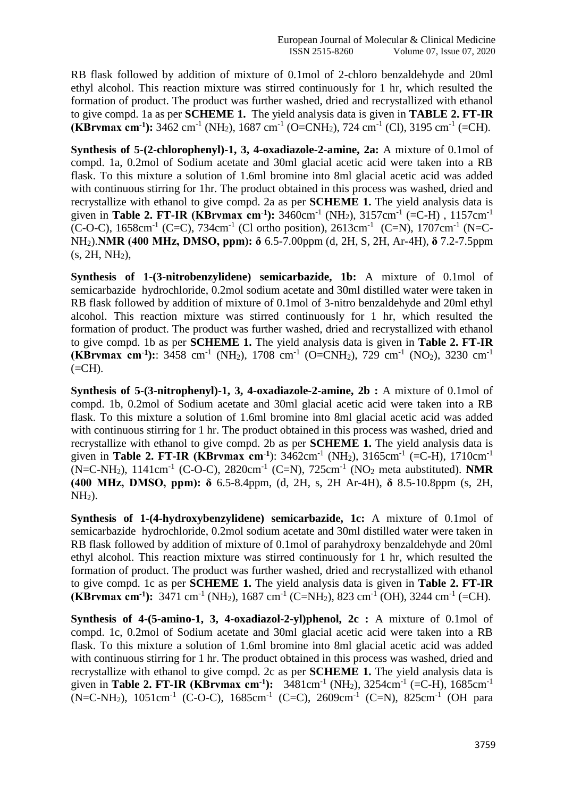RB flask followed by addition of mixture of 0.1mol of 2-chloro benzaldehyde and 20ml ethyl alcohol. This reaction mixture was stirred continuously for 1 hr, which resulted the formation of product. The product was further washed, dried and recrystallized with ethanol to give compd. 1a as per **SCHEME 1.** The yield analysis data is given in **TABLE 2. FT-IR (KBrvmax cm<sup>-1</sup>):** 3462 cm<sup>-1</sup> (NH<sub>2</sub>), 1687 cm<sup>-1</sup> (O=CNH<sub>2</sub>), 724 cm<sup>-1</sup> (Cl), 3195 cm<sup>-1</sup> (=CH).

**Synthesis of 5-(2-chlorophenyl)-1, 3, 4-oxadiazole-2-amine, 2a:** A mixture of 0.1mol of compd. 1a, 0.2mol of Sodium acetate and 30ml glacial acetic acid were taken into a RB flask. To this mixture a solution of 1.6ml bromine into 8ml glacial acetic acid was added with continuous stirring for 1hr. The product obtained in this process was washed, dried and recrystallize with ethanol to give compd. 2a as per **SCHEME 1.** The yield analysis data is given in **Table 2. FT-IR (KBrvmax cm<sup>-1</sup>):** 3460cm<sup>-1</sup> (NH<sub>2</sub>), 3157cm<sup>-1</sup> (=C-H), 1157cm<sup>-1</sup> (C-O-C),  $1658 \text{cm}^{-1}$  (C=C),  $734 \text{cm}^{-1}$  (Cl ortho position),  $2613 \text{cm}^{-1}$  (C=N),  $1707 \text{cm}^{-1}$  (N=C-NH2).**NMR (400 MHz, DMSO, ppm): δ** 6.5-7.00ppm (d, 2H, S, 2H, Ar-4H), **δ** 7.2-7.5ppm  $(s, 2H, NH<sub>2</sub>),$ 

**Synthesis of 1-(3-nitrobenzylidene) semicarbazide, 1b:** A mixture of 0.1mol of semicarbazide hydrochloride, 0.2mol sodium acetate and 30ml distilled water were taken in RB flask followed by addition of mixture of 0.1mol of 3-nitro benzaldehyde and 20ml ethyl alcohol. This reaction mixture was stirred continuously for 1 hr, which resulted the formation of product. The product was further washed, dried and recrystallized with ethanol to give compd. 1b as per **SCHEME 1.** The yield analysis data is given in **Table 2. FT-IR (KBrvmax cm<sup>-1</sup>):**: 3458 cm<sup>-1</sup> (NH<sub>2</sub>), 1708 cm<sup>-1</sup> (O=CNH<sub>2</sub>), 729 cm<sup>-1</sup> (NO<sub>2</sub>), 3230 cm<sup>-1</sup>  $(=CH).$ 

**Synthesis of 5-(3-nitrophenyl)-1, 3, 4-oxadiazole-2-amine, 2b :** A mixture of 0.1mol of compd. 1b, 0.2mol of Sodium acetate and 30ml glacial acetic acid were taken into a RB flask. To this mixture a solution of 1.6ml bromine into 8ml glacial acetic acid was added with continuous stirring for 1 hr. The product obtained in this process was washed, dried and recrystallize with ethanol to give compd. 2b as per **SCHEME 1.** The yield analysis data is given in **Table 2. FT-IR (KBrvmax cm<sup>-1</sup>)**: 3462cm<sup>-1</sup> (NH<sub>2</sub>), 3165cm<sup>-1</sup> (=C-H), 1710cm<sup>-1</sup> (N=C-NH<sub>2</sub>), 1141cm<sup>-1</sup> (C-O-C), 2820cm<sup>-1</sup> (C=N), 725cm<sup>-1</sup> (NO<sub>2</sub> meta aubstituted). **NMR (400 MHz, DMSO, ppm): δ** 6.5-8.4ppm, (d, 2H, s, 2H Ar-4H), **δ** 8.5-10.8ppm (s, 2H,  $NH<sub>2</sub>$ ).

**Synthesis of 1-(4-hydroxybenzylidene) semicarbazide, 1c:** A mixture of 0.1mol of semicarbazide hydrochloride, 0.2mol sodium acetate and 30ml distilled water were taken in RB flask followed by addition of mixture of 0.1mol of parahydroxy benzaldehyde and 20ml ethyl alcohol. This reaction mixture was stirred continuously for 1 hr, which resulted the formation of product. The product was further washed, dried and recrystallized with ethanol to give compd. 1c as per **SCHEME 1.** The yield analysis data is given in **Table 2. FT-IR (KBrvmax cm<sup>-1</sup>):** 3471 cm<sup>-1</sup> (NH<sub>2</sub>), 1687 cm<sup>-1</sup> (C=NH<sub>2</sub>), 823 cm<sup>-1</sup> (OH), 3244 cm<sup>-1</sup> (=CH).

**Synthesis of 4-(5-amino-1, 3, 4-oxadiazol-2-yl)phenol, 2c :** A mixture of 0.1mol of compd. 1c, 0.2mol of Sodium acetate and 30ml glacial acetic acid were taken into a RB flask. To this mixture a solution of 1.6ml bromine into 8ml glacial acetic acid was added with continuous stirring for 1 hr. The product obtained in this process was washed, dried and recrystallize with ethanol to give compd. 2c as per **SCHEME 1.** The yield analysis data is given in **Table 2. FT-IR (KBrvmax cm<sup>-1</sup>):** 3481cm<sup>-1</sup> (NH<sub>2</sub>), 3254cm<sup>-1</sup> (=C-H), 1685cm<sup>-1</sup> (N=C-NH<sub>2</sub>), 1051cm<sup>-1</sup> (C-O-C), 1685cm<sup>-1</sup> (C=C), 2609cm<sup>-1</sup> (C=N), 825cm<sup>-1</sup> (OH para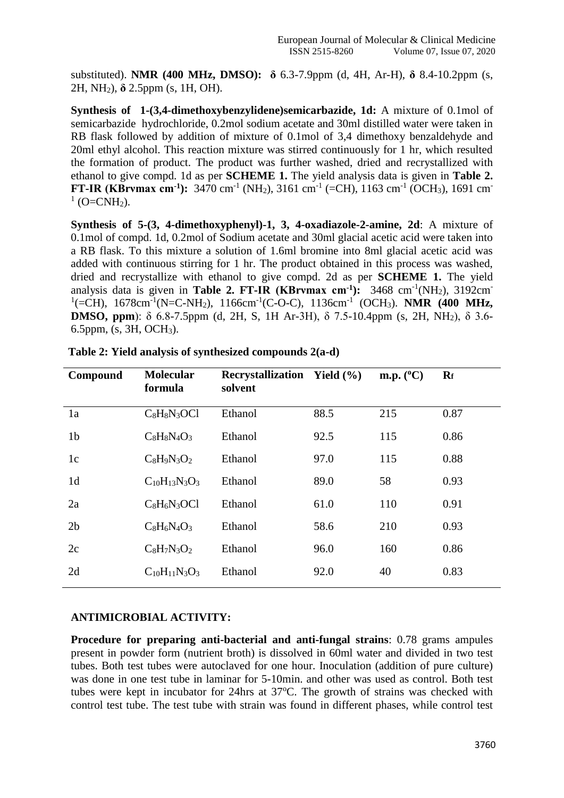substituted). **NMR (400 MHz, DMSO): δ** 6.3-7.9ppm (d, 4H, Ar-H), **δ** 8.4-10.2ppm (s, 2H, NH2), **δ** 2.5ppm (s, 1H, OH).

**Synthesis of 1-(3,4-dimethoxybenzylidene)semicarbazide, 1d:** A mixture of 0.1mol of semicarbazide hydrochloride, 0.2mol sodium acetate and 30ml distilled water were taken in RB flask followed by addition of mixture of 0.1mol of 3,4 dimethoxy benzaldehyde and 20ml ethyl alcohol. This reaction mixture was stirred continuously for 1 hr, which resulted the formation of product. The product was further washed, dried and recrystallized with ethanol to give compd. 1d as per **SCHEME 1.** The yield analysis data is given in **Table 2. FT-IR (KBrvmax cm<sup>-1</sup>):** 3470 cm<sup>-1</sup> (NH<sub>2</sub>), 3161 cm<sup>-1</sup> (=CH), 1163 cm<sup>-1</sup> (OCH<sub>3</sub>), 1691 cm<sup>-1</sup>  $^{1}$  (O=CNH<sub>2</sub>).

**Synthesis of 5-(3, 4-dimethoxyphenyl)-1, 3, 4-oxadiazole-2-amine, 2d**: A mixture of 0.1mol of compd. 1d, 0.2mol of Sodium acetate and 30ml glacial acetic acid were taken into a RB flask. To this mixture a solution of 1.6ml bromine into 8ml glacial acetic acid was added with continuous stirring for 1 hr. The product obtained in this process was washed, dried and recrystallize with ethanol to give compd. 2d as per **SCHEME 1.** The yield analysis data is given in **Table 2. FT-IR (KBrvmax cm<sup>-1</sup>):** 3468 cm<sup>-1</sup>(NH<sub>2</sub>), 3192cm<sup>-</sup> <sup>1</sup>(=CH), 1678cm<sup>-1</sup>(N=C-NH<sub>2</sub>), 1166cm<sup>-1</sup>(C-O-C), 1136cm<sup>-1</sup> (OCH<sub>3</sub>). **NMR (400 MHz, DMSO, ppm**): δ 6.8-7.5ppm (d, 2H, S, 1H Ar-3H), δ 7.5-10.4ppm (s, 2H, NH<sub>2</sub>), δ 3.6-6.5ppm, (s, 3H, OCH3).

| Compound       | <b>Molecular</b><br>formula | <b>Recrystallization</b> Yield (%)<br>solvent |      | m.p. $(^{\circ}C)$ | $R_f$ |
|----------------|-----------------------------|-----------------------------------------------|------|--------------------|-------|
| 1a             | $C_8H_8N_3OCl$              | Ethanol                                       | 88.5 | 215                | 0.87  |
| 1 <sub>b</sub> | $C_8H_8N_4O_3$              | Ethanol                                       | 92.5 | 115                | 0.86  |
| 1c             | $C_8H_9N_3O_2$              | Ethanol                                       | 97.0 | 115                | 0.88  |
| 1 <sub>d</sub> | $C_{10}H_{13}N_3O_3$        | Ethanol                                       | 89.0 | 58                 | 0.93  |
| 2a             | $C_8H_6N_3OCl$              | Ethanol                                       | 61.0 | 110                | 0.91  |
| 2 <sub>b</sub> | $C_8H_6N_4O_3$              | Ethanol                                       | 58.6 | 210                | 0.93  |
| 2c             | $C_8H_7N_3O_2$              | Ethanol                                       | 96.0 | 160                | 0.86  |
| 2d             | $C_{10}H_{11}N_3O_3$        | Ethanol                                       | 92.0 | 40                 | 0.83  |

|  |  | Table 2: Yield analysis of synthesized compounds 2(a-d) |  |
|--|--|---------------------------------------------------------|--|
|  |  |                                                         |  |

## **ANTIMICROBIAL ACTIVITY:**

**Procedure for preparing anti-bacterial and anti-fungal strains**: 0.78 grams ampules present in powder form (nutrient broth) is dissolved in 60ml water and divided in two test tubes. Both test tubes were autoclaved for one hour. Inoculation (addition of pure culture) was done in one test tube in laminar for 5-10min. and other was used as control. Both test tubes were kept in incubator for 24hrs at  $37^{\circ}$ C. The growth of strains was checked with control test tube. The test tube with strain was found in different phases, while control test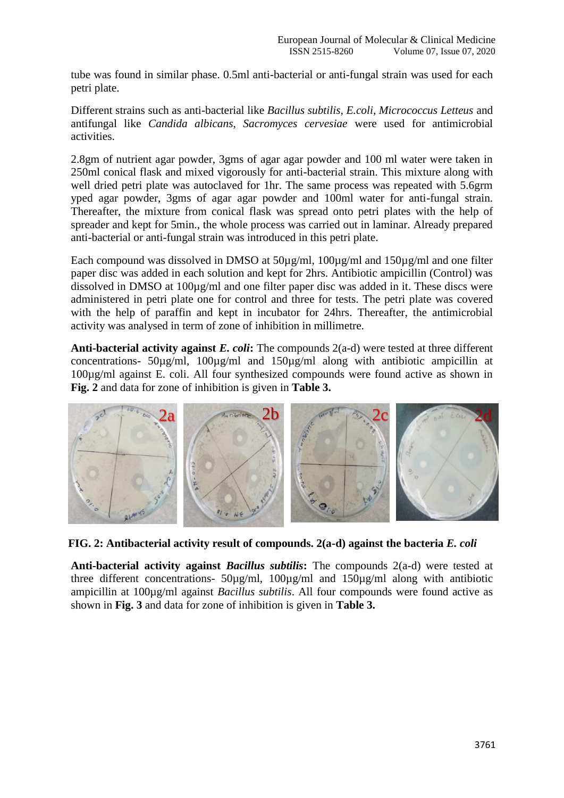tube was found in similar phase. 0.5ml anti-bacterial or anti-fungal strain was used for each petri plate.

Different strains such as anti-bacterial like *Bacillus subtilis, E.coli, Micrococcus Letteus* and antifungal like *Candida albicans, Sacromyces cervesiae* were used for antimicrobial activities.

2.8gm of nutrient agar powder, 3gms of agar agar powder and 100 ml water were taken in 250ml conical flask and mixed vigorously for anti-bacterial strain. This mixture along with well dried petri plate was autoclaved for 1hr. The same process was repeated with 5.6grm yped agar powder, 3gms of agar agar powder and 100ml water for anti-fungal strain. Thereafter, the mixture from conical flask was spread onto petri plates with the help of spreader and kept for 5min., the whole process was carried out in laminar. Already prepared anti-bacterial or anti-fungal strain was introduced in this petri plate.

Each compound was dissolved in DMSO at  $50\mu\text{g/ml}$ ,  $100\mu\text{g/ml}$  and  $150\mu\text{g/ml}$  and one filter paper disc was added in each solution and kept for 2hrs. Antibiotic ampicillin (Control) was dissolved in DMSO at 100µg/ml and one filter paper disc was added in it. These discs were administered in petri plate one for control and three for tests. The petri plate was covered with the help of paraffin and kept in incubator for 24hrs. Thereafter, the antimicrobial activity was analysed in term of zone of inhibition in millimetre.

**Anti-bacterial activity against** *E. coli***:** The compounds 2(a-d) were tested at three different concentrations- 50µg/ml, 100µg/ml and 150µg/ml along with antibiotic ampicillin at 100µg/ml against E. coli. All four synthesized compounds were found active as shown in **Fig. 2** and data for zone of inhibition is given in **Table 3.**



**FIG. 2: Antibacterial activity result of compounds. 2(a-d) against the bacteria** *E. coli*

**Anti-bacterial activity against** *Bacillus subtilis***:** The compounds 2(a-d) were tested at three different concentrations- 50µg/ml, 100µg/ml and 150µg/ml along with antibiotic ampicillin at 100µg/ml against *Bacillus subtilis*. All four compounds were found active as shown in **Fig. 3** and data for zone of inhibition is given in **Table 3.**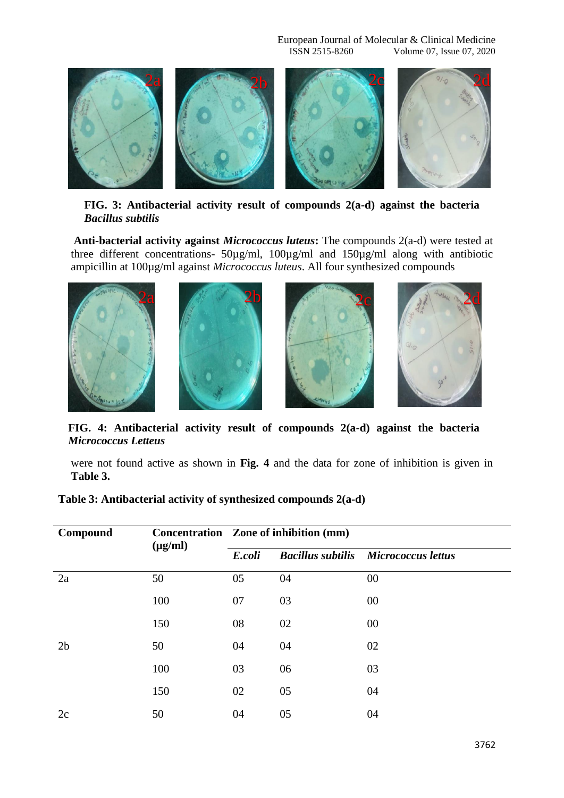European Journal of Molecular & Clinical Medicine<br>ISSN 2515-8260 Volume 07, Issue 07, 2020 Volume 07, Issue 07, 2020



**FIG. 3: Antibacterial activity result of compounds 2(a-d) against the bacteria**  *Bacillus subtilis*

**Anti-bacterial activity against** *Micrococcus luteus***:** The compounds 2(a-d) were tested at three different concentrations- 50µg/ml, 100µg/ml and 150µg/ml along with antibiotic ampicillin at 100µg/ml against *Micrococcus luteus*. All four synthesized compounds



**FIG. 4: Antibacterial activity result of compounds 2(a-d) against the bacteria**  *Micrococcus Letteus*

were not found active as shown in **Fig. 4** and the data for zone of inhibition is given in **Table 3.**

| Table 3: Antibacterial activity of synthesized compounds 2(a-d) |  |  |  |
|-----------------------------------------------------------------|--|--|--|
|-----------------------------------------------------------------|--|--|--|

| Compound       | $(\mu g/ml)$ | Concentration Zone of inhibition (mm) |    |                                             |  |
|----------------|--------------|---------------------------------------|----|---------------------------------------------|--|
|                |              | E.coli                                |    | <b>Bacillus subtilis Micrococcus lettus</b> |  |
| 2a             | 50           | 05                                    | 04 | 00                                          |  |
|                | 100          | 07                                    | 03 | 00                                          |  |
|                | 150          | 08                                    | 02 | 00                                          |  |
| 2 <sub>b</sub> | 50           | 04                                    | 04 | 02                                          |  |
|                | 100          | 03                                    | 06 | 03                                          |  |
|                | 150          | 02                                    | 05 | 04                                          |  |
| 2c             | 50           | 04                                    | 05 | 04                                          |  |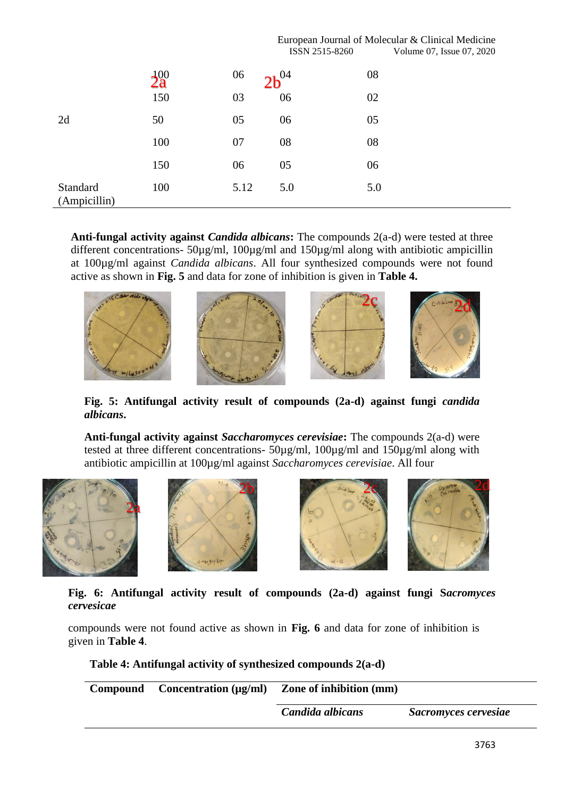|                          |          |      | ISSN 2515-8260 | European Journal of Molecular & Clinical Medicine<br>Volume 07, Issue 07, 2020 |
|--------------------------|----------|------|----------------|--------------------------------------------------------------------------------|
|                          | $2a^{0}$ | 06   | $2b^{04}$      | 08                                                                             |
|                          | 150      | 03   | 06             | 02                                                                             |
| 2d                       | 50       | 05   | 06             | 05                                                                             |
|                          | 100      | 07   | 08             | 08                                                                             |
|                          | 150      | 06   | 05             | 06                                                                             |
| Standard<br>(Ampicillin) | 100      | 5.12 | 5.0            | 5.0                                                                            |

**Anti-fungal activity against** *Candida albicans***:** The compounds 2(a-d) were tested at three different concentrations-  $50\mu\text{g/ml}$ ,  $100\mu\text{g/ml}$  and  $150\mu\text{g/ml}$  along with antibiotic ampicillin at 100µg/ml against *Candida albicans*. All four synthesized compounds were not found active as shown in **Fig. 5** and data for zone of inhibition is given in **Table 4.**



**Fig. 5: Antifungal activity result of compounds (2a-d) against fungi** *candida albicans***.**

**Anti-fungal activity against** *Saccharomyces cerevisiae***:** The compounds 2(a-d) were tested at three different concentrations- 50µg/ml, 100µg/ml and 150µg/ml along with antibiotic ampicillin at 100µg/ml against *Saccharomyces cerevisiae*. All four

![](_page_6_Picture_5.jpeg)

![](_page_6_Picture_6.jpeg)

![](_page_6_Picture_7.jpeg)

![](_page_6_Picture_8.jpeg)

**Fig. 6: Antifungal activity result of compounds (2a-d) against fungi S***acromyces cervesicae*

compounds were not found active as shown in **Fig. 6** and data for zone of inhibition is given in **Table 4**.

**Table 4: Antifungal activity of synthesized compounds 2(a-d)**

| <b>Compound</b> | Concentration $(\mu g/ml)$ | <b>Zone of inhibition (mm)</b> |                      |
|-----------------|----------------------------|--------------------------------|----------------------|
|                 |                            | Candida albicans               | Sacromyces cervesiae |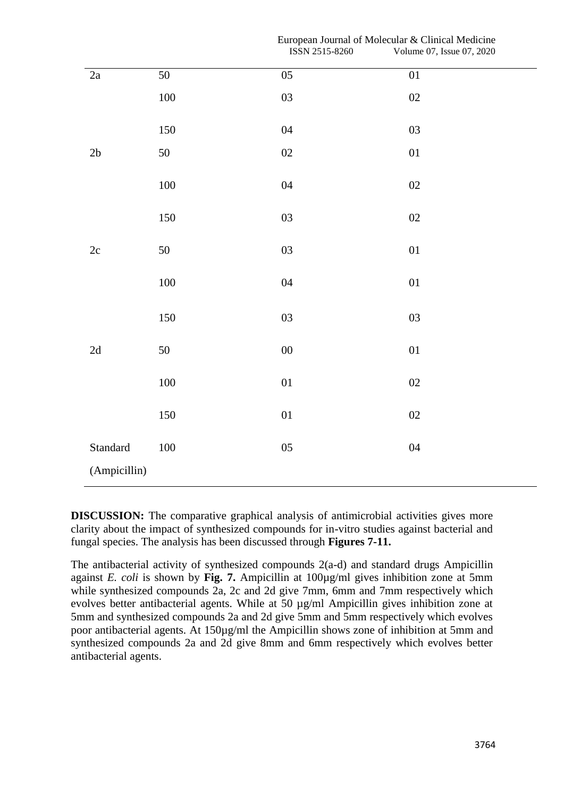|               |                 | <b>12214 7217-0700</b> | v olume $07$ , issue $07$ , $2020$ |
|---------------|-----------------|------------------------|------------------------------------|
| 2a            | $\overline{50}$ | $\overline{05}$        | $\overline{01}$                    |
|               | $100\,$         | 03                     | 02                                 |
|               | $150\,$         | 04                     | $03\,$                             |
| $2\mathsf{b}$ | $50\,$          | $02\,$                 | $0 \\ 1$                           |
|               | $100\,$         | 04                     | $02\,$                             |
|               | 150             | $03\,$                 | $02\,$                             |
| $2\mathrm{c}$ | $50\,$          | 03                     | 01                                 |
|               | $100\,$         | 04                     | $0 \\ 1$                           |
|               | 150             | 03                     | $03\,$                             |
| $2\mathrm{d}$ | $50\,$          | $00\,$                 | $0 \\ 1$                           |
|               | $100\,$         | 01                     | $02\,$                             |
|               | 150             | $0 \\ 1$               | $02\,$                             |
| Standard      | $100\,$         | 05                     | 04                                 |
| (Ampicillin)  |                 |                        |                                    |

**DISCUSSION:** The comparative graphical analysis of antimicrobial activities gives more clarity about the impact of synthesized compounds for in-vitro studies against bacterial and fungal species. The analysis has been discussed through **Figures 7-11.**

The antibacterial activity of synthesized compounds 2(a-d) and standard drugs Ampicillin against *E. coli* is shown by **Fig. 7.** Ampicillin at 100µg/ml gives inhibition zone at 5mm while synthesized compounds 2a, 2c and 2d give 7mm, 6mm and 7mm respectively which evolves better antibacterial agents. While at 50 µg/ml Ampicillin gives inhibition zone at 5mm and synthesized compounds 2a and 2d give 5mm and 5mm respectively which evolves poor antibacterial agents. At 150µg/ml the Ampicillin shows zone of inhibition at 5mm and synthesized compounds 2a and 2d give 8mm and 6mm respectively which evolves better antibacterial agents.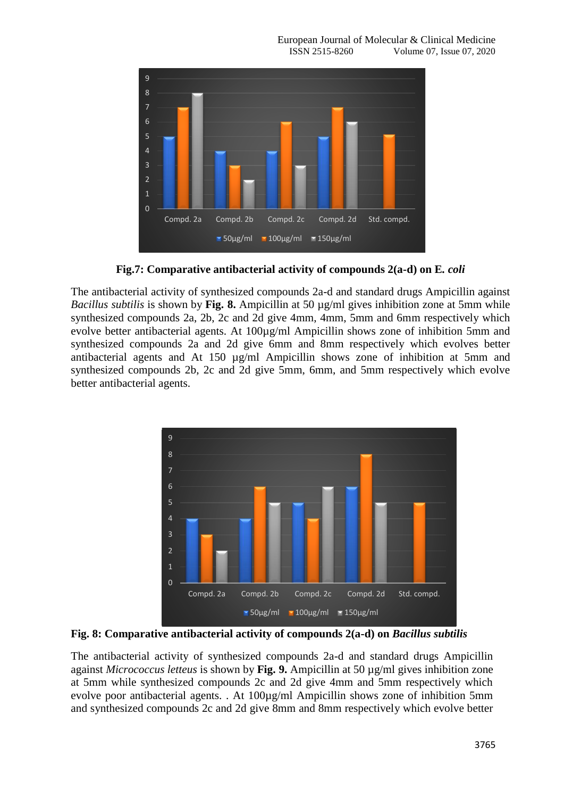![](_page_8_Figure_1.jpeg)

**Fig.7: Comparative antibacterial activity of compounds 2(a-d) on E***. coli*

The antibacterial activity of synthesized compounds 2a-d and standard drugs Ampicillin against *Bacillus subtilis* is shown by **Fig. 8.** Ampicillin at 50 µg/ml gives inhibition zone at 5mm while synthesized compounds 2a, 2b, 2c and 2d give 4mm, 4mm, 5mm and 6mm respectively which evolve better antibacterial agents. At 100µg/ml Ampicillin shows zone of inhibition 5mm and synthesized compounds 2a and 2d give 6mm and 8mm respectively which evolves better antibacterial agents and At 150 µg/ml Ampicillin shows zone of inhibition at 5mm and synthesized compounds 2b, 2c and 2d give 5mm, 6mm, and 5mm respectively which evolve better antibacterial agents.

![](_page_8_Figure_4.jpeg)

**Fig. 8: Comparative antibacterial activity of compounds 2(a-d) on** *Bacillus subtilis*

The antibacterial activity of synthesized compounds 2a-d and standard drugs Ampicillin against *Micrococcus letteus* is shown by **Fig. 9.** Ampicillin at 50 µg/ml gives inhibition zone at 5mm while synthesized compounds 2c and 2d give 4mm and 5mm respectively which evolve poor antibacterial agents. . At 100µg/ml Ampicillin shows zone of inhibition 5mm and synthesized compounds 2c and 2d give 8mm and 8mm respectively which evolve better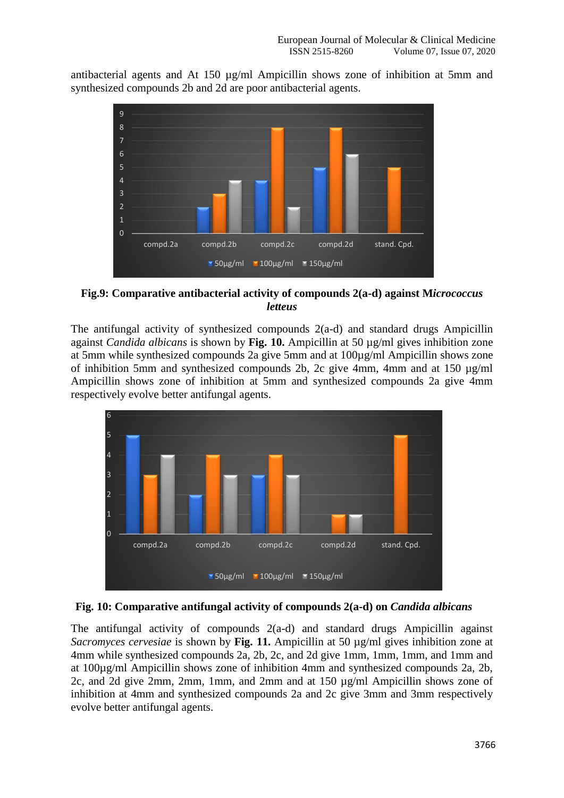antibacterial agents and At 150 µg/ml Ampicillin shows zone of inhibition at 5mm and synthesized compounds 2b and 2d are poor antibacterial agents.

![](_page_9_Figure_2.jpeg)

**Fig.9: Comparative antibacterial activity of compounds 2(a-d) against M***icrococcus letteus*

The antifungal activity of synthesized compounds 2(a-d) and standard drugs Ampicillin against *Candida albicans* is shown by **Fig. 10.** Ampicillin at 50 µg/ml gives inhibition zone at 5mm while synthesized compounds 2a give 5mm and at 100µg/ml Ampicillin shows zone of inhibition 5mm and synthesized compounds 2b, 2c give 4mm, 4mm and at 150 µg/ml Ampicillin shows zone of inhibition at 5mm and synthesized compounds 2a give 4mm respectively evolve better antifungal agents.

![](_page_9_Figure_5.jpeg)

![](_page_9_Figure_6.jpeg)

The antifungal activity of compounds 2(a-d) and standard drugs Ampicillin against *Sacromyces cervesiae* is shown by **Fig. 11.** Ampicillin at 50 µg/ml gives inhibition zone at 4mm while synthesized compounds 2a, 2b, 2c, and 2d give 1mm, 1mm, 1mm, and 1mm and at 100µg/ml Ampicillin shows zone of inhibition 4mm and synthesized compounds 2a, 2b, 2c, and 2d give 2mm, 2mm, 1mm, and 2mm and at 150 µg/ml Ampicillin shows zone of inhibition at 4mm and synthesized compounds 2a and 2c give 3mm and 3mm respectively evolve better antifungal agents.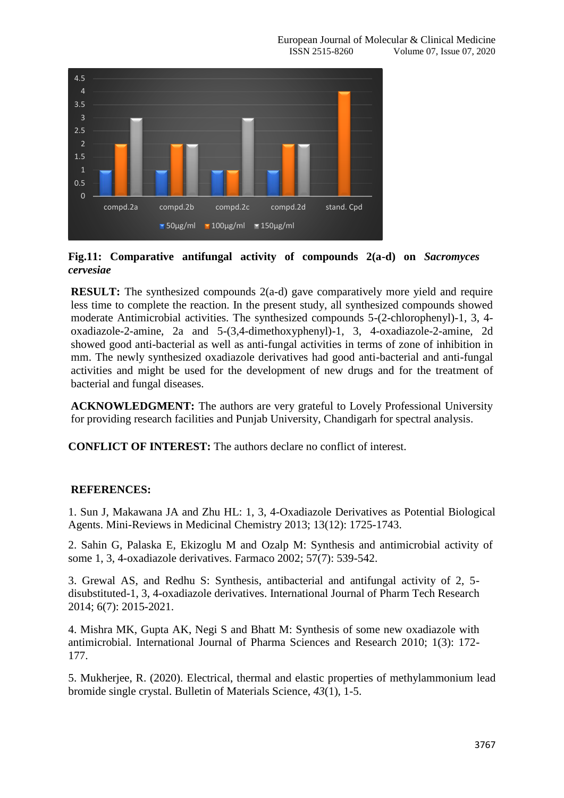![](_page_10_Figure_1.jpeg)

**Fig.11: Comparative antifungal activity of compounds 2(a-d) on** *Sacromyces cervesiae*

**RESULT:** The synthesized compounds 2(a-d) gave comparatively more yield and require less time to complete the reaction. In the present study, all synthesized compounds showed moderate Antimicrobial activities. The synthesized compounds 5-(2-chlorophenyl)-1, 3, 4 oxadiazole-2-amine, 2a and 5-(3,4-dimethoxyphenyl)-1, 3, 4-oxadiazole-2-amine, 2d showed good anti-bacterial as well as anti-fungal activities in terms of zone of inhibition in mm. The newly synthesized oxadiazole derivatives had good anti-bacterial and anti-fungal activities and might be used for the development of new drugs and for the treatment of bacterial and fungal diseases.

**ACKNOWLEDGMENT:** The authors are very grateful to Lovely Professional University for providing research facilities and Punjab University, Chandigarh for spectral analysis.

**CONFLICT OF INTEREST:** The authors declare no conflict of interest.

## **REFERENCES:**

1. Sun J, Makawana JA and Zhu HL: 1, 3, 4-Oxadiazole Derivatives as Potential Biological Agents. Mini-Reviews in Medicinal Chemistry 2013; 13(12): 1725-1743.

2. Sahin G, Palaska E, Ekizoglu M and Ozalp M: Synthesis and antimicrobial activity of some 1, 3, 4-oxadiazole derivatives. Farmaco 2002; 57(7): 539-542.

3. Grewal AS, and Redhu S: Synthesis, antibacterial and antifungal activity of 2, 5 disubstituted-1, 3, 4-oxadiazole derivatives. International Journal of Pharm Tech Research 2014; 6(7): 2015-2021.

4. Mishra MK, Gupta AK, Negi S and Bhatt M: Synthesis of some new oxadiazole with antimicrobial. International Journal of Pharma Sciences and Research 2010; 1(3): 172- 177.

5. Mukherjee, R. (2020). Electrical, thermal and elastic properties of methylammonium lead bromide single crystal. Bulletin of Materials Science, *43*(1), 1-5.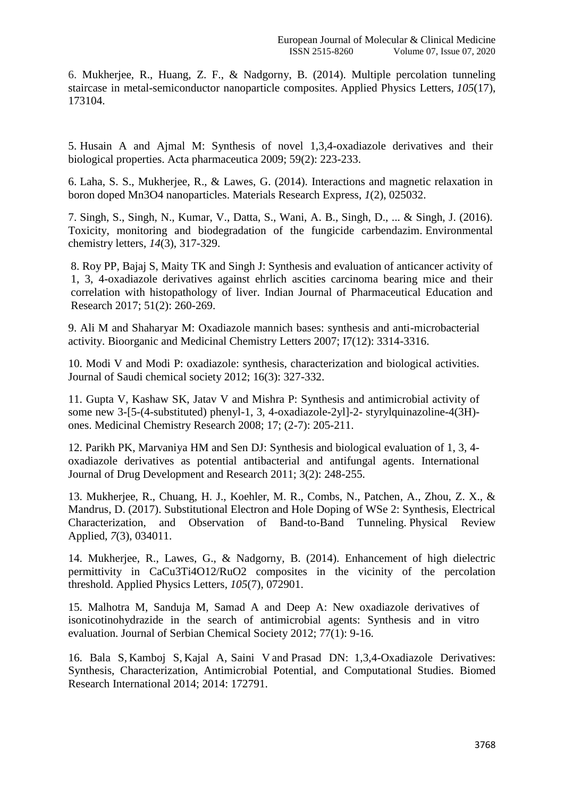6. Mukherjee, R., Huang, Z. F., & Nadgorny, B. (2014). Multiple percolation tunneling staircase in metal-semiconductor nanoparticle composites. Applied Physics Letters, *105*(17), 173104.

5. Husain A and Ajmal M: Synthesis of novel 1,3,4-oxadiazole derivatives and their biological properties. Acta pharmaceutica 2009; 59(2): 223-233.

6. Laha, S. S., Mukherjee, R., & Lawes, G. (2014). Interactions and magnetic relaxation in boron doped Mn3O4 nanoparticles. Materials Research Express, *1*(2), 025032.

7. Singh, S., Singh, N., Kumar, V., Datta, S., Wani, A. B., Singh, D., ... & Singh, J. (2016). Toxicity, monitoring and biodegradation of the fungicide carbendazim. Environmental chemistry letters, *14*(3), 317-329.

8. Roy PP, Bajaj S, Maity TK and Singh J: Synthesis and evaluation of anticancer activity of 1, 3, 4-oxadiazole derivatives against ehrlich ascities carcinoma bearing mice and their correlation with histopathology of liver. Indian Journal of Pharmaceutical Education and Research 2017; 51(2): 260-269.

9. Ali M and Shaharyar M: Oxadiazole mannich bases: synthesis and anti-microbacterial activity. Bioorganic and Medicinal Chemistry Letters 2007; I7(12): 3314-3316.

10. Modi V and Modi P: oxadiazole: synthesis, characterization and biological activities. Journal of Saudi chemical society 2012; 16(3): 327-332.

11. Gupta V, Kashaw SK, Jatav V and Mishra P: Synthesis and antimicrobial activity of some new 3-[5-(4-substituted) phenyl-1, 3, 4-oxadiazole-2yl]-2- styrylquinazoline-4(3H) ones. Medicinal Chemistry Research 2008; 17; (2-7): 205-211.

12. Parikh PK, Marvaniya HM and Sen DJ: Synthesis and biological evaluation of 1, 3, 4 oxadiazole derivatives as potential antibacterial and antifungal agents. International Journal of Drug Development and Research 2011; 3(2): 248-255.

13. Mukherjee, R., Chuang, H. J., Koehler, M. R., Combs, N., Patchen, A., Zhou, Z. X., & Mandrus, D. (2017). Substitutional Electron and Hole Doping of WSe 2: Synthesis, Electrical Characterization, and Observation of Band-to-Band Tunneling. Physical Review Applied, *7*(3), 034011.

14. Mukherjee, R., Lawes, G., & Nadgorny, B. (2014). Enhancement of high dielectric permittivity in CaCu3Ti4O12/RuO2 composites in the vicinity of the percolation threshold. Applied Physics Letters, *105*(7), 072901.

15. Malhotra M, Sanduja M, Samad A and Deep A: New oxadiazole derivatives of isonicotinohydrazide in the search of antimicrobial agents: Synthesis and in vitro evaluation. Journal of Serbian Chemical Society 2012; 77(1): 9-16.

16. [Bala](https://www.ncbi.nlm.nih.gov/pubmed/?term=Bala%20S%5BAuthor%5D&cauthor=true&cauthor_uid=25147788) S, [Kamboj](https://www.ncbi.nlm.nih.gov/pubmed/?term=Kamboj%20S%5BAuthor%5D&cauthor=true&cauthor_uid=25147788) S, [Kajal](https://www.ncbi.nlm.nih.gov/pubmed/?term=Kajal%20A%5BAuthor%5D&cauthor=true&cauthor_uid=25147788) A, [Saini](https://www.ncbi.nlm.nih.gov/pubmed/?term=Saini%20V%5BAuthor%5D&cauthor=true&cauthor_uid=25147788) V and [Prasad](https://www.ncbi.nlm.nih.gov/pubmed/?term=Prasad%20DN%5BAuthor%5D&cauthor=true&cauthor_uid=25147788) DN: 1,3,4-Oxadiazole Derivatives: Synthesis, Characterization, Antimicrobial Potential, and Computational Studies. [Biomed](https://www.ncbi.nlm.nih.gov/pmc/articles/PMC4131560/)  [Research Inte](https://www.ncbi.nlm.nih.gov/pmc/articles/PMC4131560/)rnational 2014; 2014: 172791.